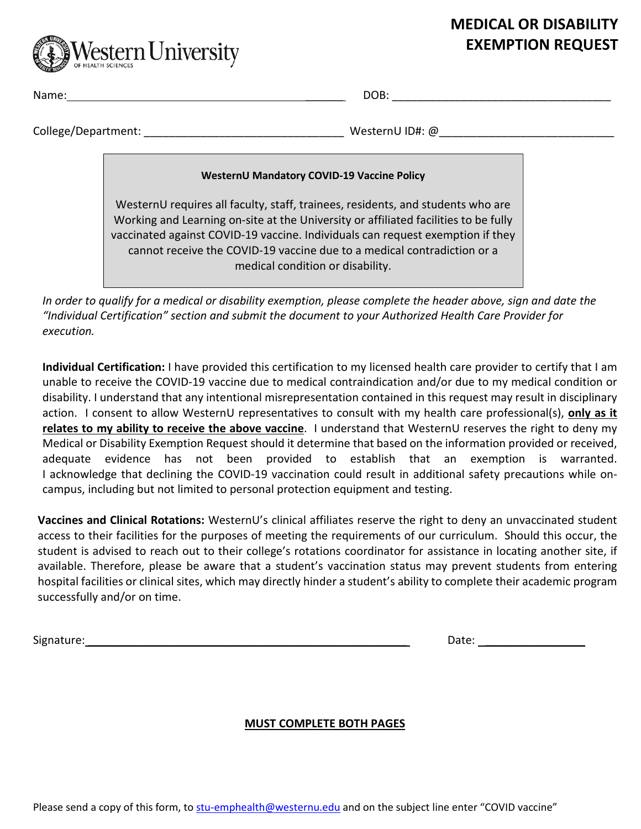# **MEDICAL OR DISABILITY EXEMPTION REQUEST**



Name: \_\_\_\_\_\_ DOB: \_\_\_\_\_\_\_\_\_\_\_\_\_\_\_\_\_\_\_\_\_\_\_\_\_\_\_\_\_\_\_\_\_\_\_

 $\textsf{CollectDepartment:}\footnotesize \begin{minipage}{10.23\textwidth} \begin{tabular}{p{0.23\textwidth} \textbf{1.44\textwidth} \textbf{1.44\textwidth} \textbf{2.44\textwidth} \textbf{2.44\textwidth} \textbf{3.44\textwidth} \textbf{4.44\textwidth} \textbf{4.44\textwidth} \textbf{5.44\textwidth} \textbf{1.44\textwidth} \textbf{6.44\textwidth} \textbf{7.44\textwidth} \textbf{7.44\textwidth} \textbf{8.44\textwidth} \textbf{9.44\textwidth} \textbf{1.44\text$ 

### **WesternU Mandatory COVID-19 Vaccine Policy**

WesternU requires all faculty, staff, trainees, residents, and students who are Working and Learning on-site at the University or affiliated facilities to be fully vaccinated against COVID-19 vaccine. Individuals can request exemption if they cannot receive the COVID-19 vaccine due to a medical contradiction or a medical condition or disability.

*In order to qualify for a medical or disability exemption, please complete the header above, sign and date the "Individual Certification" section and submit the document to your Authorized Health Care Provider for execution.* 

**Individual Certification:** I have provided this certification to my licensed health care provider to certify that I am unable to receive the COVID-19 vaccine due to medical contraindication and/or due to my medical condition or disability. I understand that any intentional misrepresentation contained in this request may result in disciplinary action. I consent to allow WesternU representatives to consult with my health care professional(s), **only as it relates to my ability to receive the above vaccine**. I understand that WesternU reserves the right to deny my Medical or Disability Exemption Request should it determine that based on the information provided or received, adequate evidence has not been provided to establish that an exemption is warranted. I acknowledge that declining the COVID-19 vaccination could result in additional safety precautions while oncampus, including but not limited to personal protection equipment and testing.

**Vaccines and Clinical Rotations:** WesternU's clinical affiliates reserve the right to deny an unvaccinated student access to their facilities for the purposes of meeting the requirements of our curriculum. Should this occur, the student is advised to reach out to their college's rotations coordinator for assistance in locating another site, if available. Therefore, please be aware that a student's vaccination status may prevent students from entering hospital facilities or clinical sites, which may directly hinder a student's ability to complete their academic program successfully and/or on time.

Signature: \_\_\_\_\_\_\_\_\_\_\_\_\_\_\_\_\_\_\_\_\_\_\_\_\_\_\_\_\_\_\_\_\_\_\_\_\_\_\_\_\_\_\_\_\_\_\_\_\_\_\_ Date: \_\_\_\_\_\_\_\_\_\_\_\_\_\_\_\_

## **MUST COMPLETE BOTH PAGES**